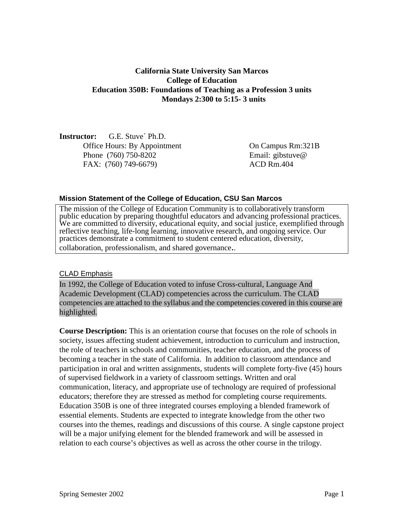# **California State University San Marcos College of Education Education 350B: Foundations of Teaching as a Profession 3 units Mondays 2:300 to 5:15- 3 units**

**Instructor:** G.E. Stuve´ Ph.D. Office Hours: By Appointment On Campus Rm:321B Phone (760) 750-8202 Email: gibstuve@ FAX: (760) 749-6679) ACD Rm.404

#### **Mission Statement of the College of Education, CSU San Marcos**

The mission of the College of Education Community is to collaboratively transform public education by preparing thoughtful educators and advancing professional practices. We are committed to diversity, educational equity, and social justice, exemplified through reflective teaching, life-long learning, innovative research, and ongoing service. Our practices demonstrate a commitment to student centered education, diversity, collaboration, professionalism, and shared governance..

#### CLAD Emphasis

In 1992, the College of Education voted to infuse Cross-cultural, Language And Academic Development (CLAD) competencies across the curriculum. The CLAD competencies are attached to the syllabus and the competencies covered in this course are highlighted.

**Course Description:** This is an orientation course that focuses on the role of schools in society, issues affecting student achievement, introduction to curriculum and instruction, the role of teachers in schools and communities, teacher education, and the process of becoming a teacher in the state of California. In addition to classroom attendance and participation in oral and written assignments, students will complete forty-five (45) hours of supervised fieldwork in a variety of classroom settings. Written and oral communication, literacy, and appropriate use of technology are required of professional educators; therefore they are stressed as method for completing course requirements. Education 350B is one of three integrated courses employing a blended framework of essential elements. Students are expected to integrate knowledge from the other two courses into the themes, readings and discussions of this course. A single capstone project will be a major unifying element for the blended framework and will be assessed in relation to each course's objectives as well as across the other course in the trilogy.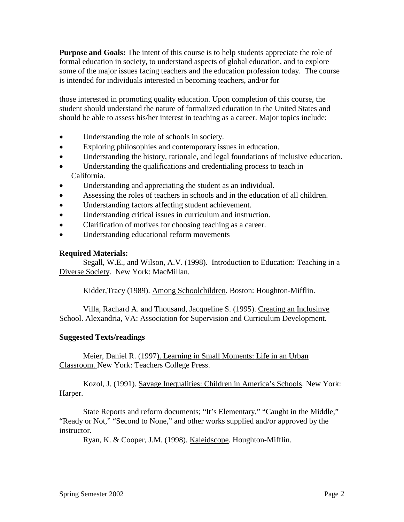**Purpose and Goals:** The intent of this course is to help students appreciate the role of formal education in society, to understand aspects of global education, and to explore some of the major issues facing teachers and the education profession today. The course is intended for individuals interested in becoming teachers, and/or for

those interested in promoting quality education. Upon completion of this course, the student should understand the nature of formalized education in the United States and should be able to assess his/her interest in teaching as a career. Major topics include:

- Understanding the role of schools in society.
- Exploring philosophies and contemporary issues in education.
- Understanding the history, rationale, and legal foundations of inclusive education.
- Understanding the qualifications and credentialing process to teach in California.
- Understanding and appreciating the student as an individual.
- Assessing the roles of teachers in schools and in the education of all children.
- Understanding factors affecting student achievement.
- Understanding critical issues in curriculum and instruction.
- Clarification of motives for choosing teaching as a career.
- Understanding educational reform movements

#### **Required Materials:**

Segall, W.E., and Wilson, A.V. (1998). Introduction to Education: Teaching in a Diverse Society. New York: MacMillan.

Kidder,Tracy (1989). Among Schoolchildren. Boston: Houghton-Mifflin.

Villa, Rachard A. and Thousand, Jacqueline S. (1995). Creating an Inclusinve School. Alexandria, VA: Association for Supervision and Curriculum Development.

### **Suggested Texts/readings**

Meier, Daniel R. (1997). Learning in Small Moments: Life in an Urban Classroom. New York: Teachers College Press.

Kozol, J. (1991). Savage Inequalities: Children in America's Schools. New York: Harper.

State Reports and reform documents; "It's Elementary," "Caught in the Middle," "Ready or Not," "Second to None," and other works supplied and/or approved by the instructor.

Ryan, K. & Cooper, J.M. (1998). Kaleidscope. Houghton-Mifflin.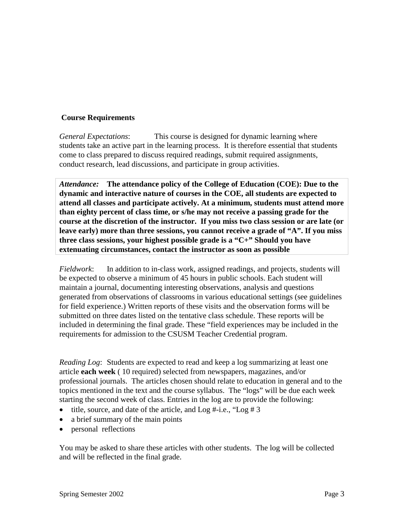### **Course Requirements**

*General Expectations*: This course is designed for dynamic learning where students take an active part in the learning process. It is therefore essential that students come to class prepared to discuss required readings, submit required assignments, conduct research, lead discussions, and participate in group activities.

*Attendance:* **The attendance policy of the College of Education (COE): Due to the dynamic and interactive nature of courses in the COE, all students are expected to attend all classes and participate actively. At a minimum, students must attend more than eighty percent of class time, or s/he may not receive a passing grade for the course at the discretion of the instructor. If you miss two class session or are late (or leave early) more than three sessions, you cannot receive a grade of "A". If you miss three class sessions, your highest possible grade is a "C+" Should you have extenuating circumstances, contact the instructor as soon as possible**

*Fieldwork*: In addition to in-class work, assigned readings, and projects, students will be expected to observe a minimum of 45 hours in public schools. Each student will maintain a journal, documenting interesting observations, analysis and questions generated from observations of classrooms in various educational settings (see guidelines for field experience.) Written reports of these visits and the observation forms will be submitted on three dates listed on the tentative class schedule. These reports will be included in determining the final grade. These "field experiences may be included in the requirements for admission to the CSUSM Teacher Credential program.

*Reading Log*: Students are expected to read and keep a log summarizing at least one article **each week** ( 10 required) selected from newspapers, magazines, and/or professional journals. The articles chosen should relate to education in general and to the topics mentioned in the text and the course syllabus. The "logs" will be due each week starting the second week of class. Entries in the log are to provide the following:

- title, source, and date of the article, and Log #-i.e., "Log # 3
- a brief summary of the main points
- personal reflections

You may be asked to share these articles with other students. The log will be collected and will be reflected in the final grade.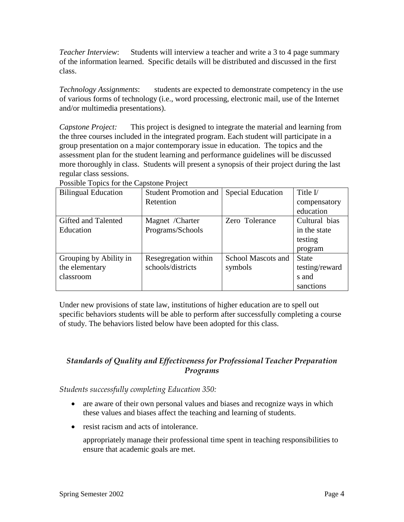*Teacher Interview*: Students will interview a teacher and write a 3 to 4 page summary of the information learned. Specific details will be distributed and discussed in the first class.

*Technology Assignments*: students are expected to demonstrate competency in the use of various forms of technology (i.e., word processing, electronic mail, use of the Internet and/or multimedia presentations).

*Capstone Project:* This project is designed to integrate the material and learning from the three courses included in the integrated program. Each student will participate in a group presentation on a major contemporary issue in education. The topics and the assessment plan for the student learning and performance guidelines will be discussed more thoroughly in class. Students will present a synopsis of their project during the last regular class sessions.

| <b>Bilingual Education</b> | <b>Student Promotion and</b> | <b>Special Education</b> | Title $V$      |
|----------------------------|------------------------------|--------------------------|----------------|
|                            | Retention                    |                          | compensatory   |
|                            |                              |                          | education      |
| Gifted and Talented        | Magnet /Charter              | Zero Tolerance           | Cultural bias  |
| Education                  | Programs/Schools             |                          | in the state   |
|                            |                              |                          | testing        |
|                            |                              |                          | program        |
| Grouping by Ability in     | Resegregation within         | School Mascots and       | <b>State</b>   |
| the elementary             | schools/districts            | symbols                  | testing/reward |
| classroom                  |                              |                          | s and          |
|                            |                              |                          | sanctions      |

Possible Topics for the Capstone Project

Under new provisions of state law, institutions of higher education are to spell out specific behaviors students will be able to perform after successfully completing a course of study. The behaviors listed below have been adopted for this class.

# *Standards of Quality and Effectiveness for Professional Teacher Preparation Programs*

*Students successfully completing Education 350:*

- are aware of their own personal values and biases and recognize ways in which these values and biases affect the teaching and learning of students.
- resist racism and acts of intolerance.

appropriately manage their professional time spent in teaching responsibilities to ensure that academic goals are met.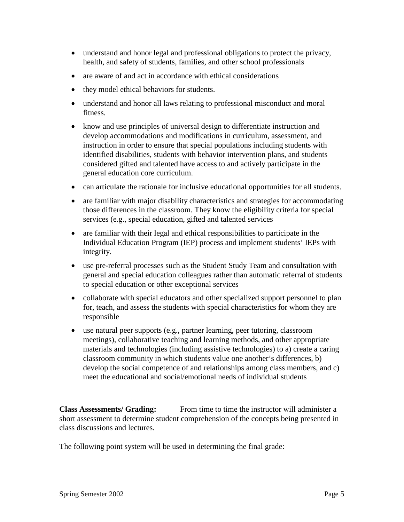- understand and honor legal and professional obligations to protect the privacy, health, and safety of students, families, and other school professionals
- are aware of and act in accordance with ethical considerations
- they model ethical behaviors for students.
- understand and honor all laws relating to professional misconduct and moral fitness.
- know and use principles of universal design to differentiate instruction and develop accommodations and modifications in curriculum, assessment, and instruction in order to ensure that special populations including students with identified disabilities, students with behavior intervention plans, and students considered gifted and talented have access to and actively participate in the general education core curriculum.
- can articulate the rationale for inclusive educational opportunities for all students.
- are familiar with major disability characteristics and strategies for accommodating those differences in the classroom. They know the eligibility criteria for special services (e.g., special education, gifted and talented services
- are familiar with their legal and ethical responsibilities to participate in the Individual Education Program (IEP) process and implement students' IEPs with integrity.
- use pre-referral processes such as the Student Study Team and consultation with general and special education colleagues rather than automatic referral of students to special education or other exceptional services
- collaborate with special educators and other specialized support personnel to plan for, teach, and assess the students with special characteristics for whom they are responsible
- use natural peer supports (e.g., partner learning, peer tutoring, classroom meetings), collaborative teaching and learning methods, and other appropriate materials and technologies (including assistive technologies) to a) create a caring classroom community in which students value one another's differences, b) develop the social competence of and relationships among class members, and c) meet the educational and social/emotional needs of individual students

**Class Assessments/ Grading:** From time to time the instructor will administer a short assessment to determine student comprehension of the concepts being presented in class discussions and lectures.

The following point system will be used in determining the final grade: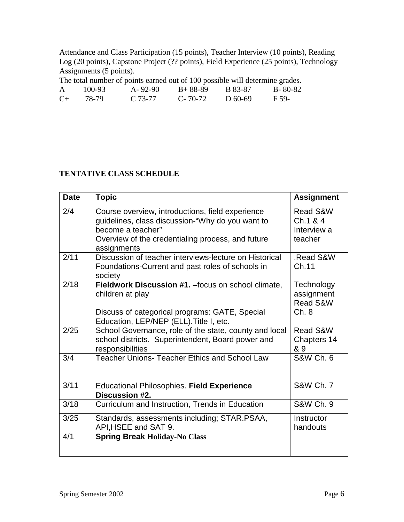Attendance and Class Participation (15 points), Teacher Interview (10 points), Reading Log (20 points), Capstone Project (?? points), Field Experience (25 points), Technology Assignments (5 points).

The total number of points earned out of 100 possible will determine grades.

| A         | 100-93 | $A - 92 - 90$ | $B+88-89$     | B 83-87   | $B - 80 - 82$ |
|-----------|--------|---------------|---------------|-----------|---------------|
| $C_{\pm}$ | 78-79  | $C.73-77$     | $C - 70 - 72$ | $D$ 60-69 | F 59-         |

# **TENTATIVE CLASS SCHEDULE**

| <b>Date</b> | <b>Topic</b>                                                                                                                                                                                  | <b>Assignment</b>                                         |
|-------------|-----------------------------------------------------------------------------------------------------------------------------------------------------------------------------------------------|-----------------------------------------------------------|
| 2/4         | Course overview, introductions, field experience<br>guidelines, class discussion-"Why do you want to<br>become a teacher"<br>Overview of the credentialing process, and future<br>assignments | <b>Read S&amp;W</b><br>Ch.1 & 4<br>Interview a<br>teacher |
| 2/11        | Discussion of teacher interviews-lecture on Historical<br>Foundations-Current and past roles of schools in<br>society                                                                         | .Read S&W<br>Ch.11                                        |
| 2/18        | <b>Fieldwork Discussion #1.</b> –focus on school climate,<br>children at play                                                                                                                 | Technology<br>assignment<br>Read S&W                      |
|             | Discuss of categorical programs: GATE, Special<br>Education, LEP/NEP (ELL). Title I, etc.                                                                                                     | Ch.8                                                      |
| 2/25        | School Governance, role of the state, county and local<br>school districts. Superintendent, Board power and<br>responsibilities                                                               | Read S&W<br>Chapters 14<br>& 9                            |
| 3/4         | <b>Teacher Unions- Teacher Ethics and School Law</b>                                                                                                                                          | <b>S&amp;W Ch. 6</b>                                      |
| 3/11        | <b>Educational Philosophies. Field Experience</b><br>Discussion #2.                                                                                                                           | <b>S&amp;W Ch. 7</b>                                      |
| 3/18        | Curriculum and Instruction, Trends in Education                                                                                                                                               | <b>S&amp;W Ch. 9</b>                                      |
| 3/25        | Standards, assessments including; STAR.PSAA,<br>API, HSEE and SAT 9.                                                                                                                          | Instructor<br>handouts                                    |
| 4/1         | <b>Spring Break Holiday-No Class</b>                                                                                                                                                          |                                                           |